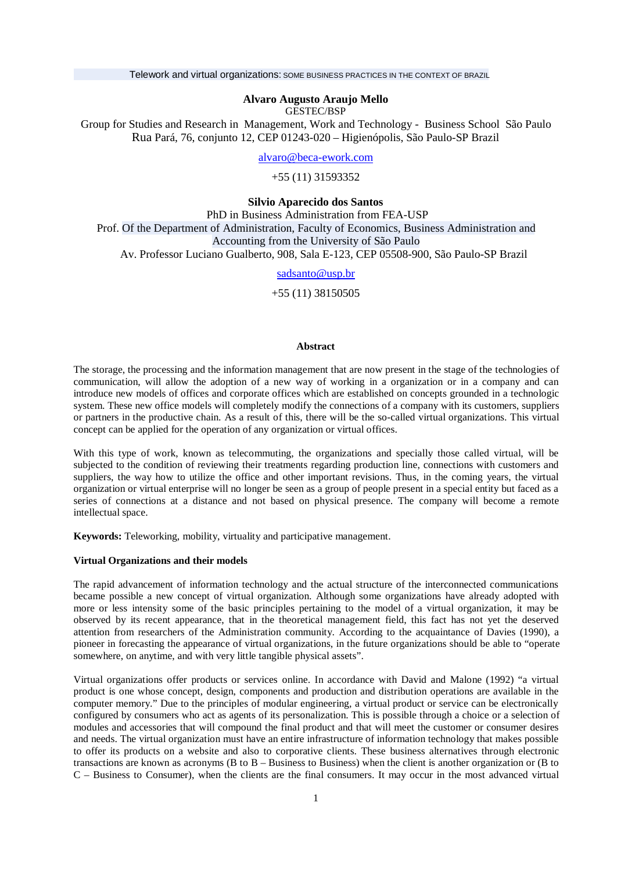Telework and virtual organizations: SOME BUSINESS PRACTICES IN THE CONTEXT OF BRAZIL

## **Alvaro Augusto Araujo Mello**

GESTEC/BSP

Group for Studies and Research in Management, Work and Technology - Business School São Paulo Rua Pará, 76, conjunto 12, CEP 01243-020 – Higienópolis, São Paulo-SP Brazil

[alvaro@beca-ework.com](mailto:alvaro@beca-ework.com)

+55 (11) 31593352

**Silvio Aparecido dos Santos** 

PhD in Business Administration from FEA-USP Prof. Of the Department of Administration, Faculty of Economics, Business Administration and Accounting from the University of São Paulo Av. Professor Luciano Gualberto, 908, Sala E-123, CEP 05508-900, São Paulo-SP Brazil

# [sadsanto@usp.br](mailto:sadsanto@usp.br)

+55 (11) 38150505

## **Abstract**

The storage, the processing and the information management that are now present in the stage of the technologies of communication, will allow the adoption of a new way of working in a organization or in a company and can introduce new models of offices and corporate offices which are established on concepts grounded in a technologic system. These new office models will completely modify the connections of a company with its customers, suppliers or partners in the productive chain. As a result of this, there will be the so-called virtual organizations. This virtual concept can be applied for the operation of any organization or virtual offices.

With this type of work, known as telecommuting, the organizations and specially those called virtual, will be subjected to the condition of reviewing their treatments regarding production line, connections with customers and suppliers, the way how to utilize the office and other important revisions. Thus, in the coming years, the virtual organization or virtual enterprise will no longer be seen as a group of people present in a special entity but faced as a series of connections at a distance and not based on physical presence. The company will become a remote intellectual space.

**Keywords:** Teleworking, mobility, virtuality and participative management.

### **Virtual Organizations and their models**

The rapid advancement of information technology and the actual structure of the interconnected communications became possible a new concept of virtual organization. Although some organizations have already adopted with more or less intensity some of the basic principles pertaining to the model of a virtual organization, it may be observed by its recent appearance, that in the theoretical management field, this fact has not yet the deserved attention from researchers of the Administration community. According to the acquaintance of Davies (1990), a pioneer in forecasting the appearance of virtual organizations, in the future organizations should be able to "operate somewhere, on anytime, and with very little tangible physical assets".

Virtual organizations offer products or services online. In accordance with David and Malone (1992) "a virtual product is one whose concept, design, components and production and distribution operations are available in the computer memory." Due to the principles of modular engineering, a virtual product or service can be electronically configured by consumers who act as agents of its personalization. This is possible through a choice or a selection of modules and accessories that will compound the final product and that will meet the customer or consumer desires and needs. The virtual organization must have an entire infrastructure of information technology that makes possible to offer its products on a website and also to corporative clients. These business alternatives through electronic transactions are known as acronyms (B to B – Business to Business) when the client is another organization or (B to C – Business to Consumer), when the clients are the final consumers. It may occur in the most advanced virtual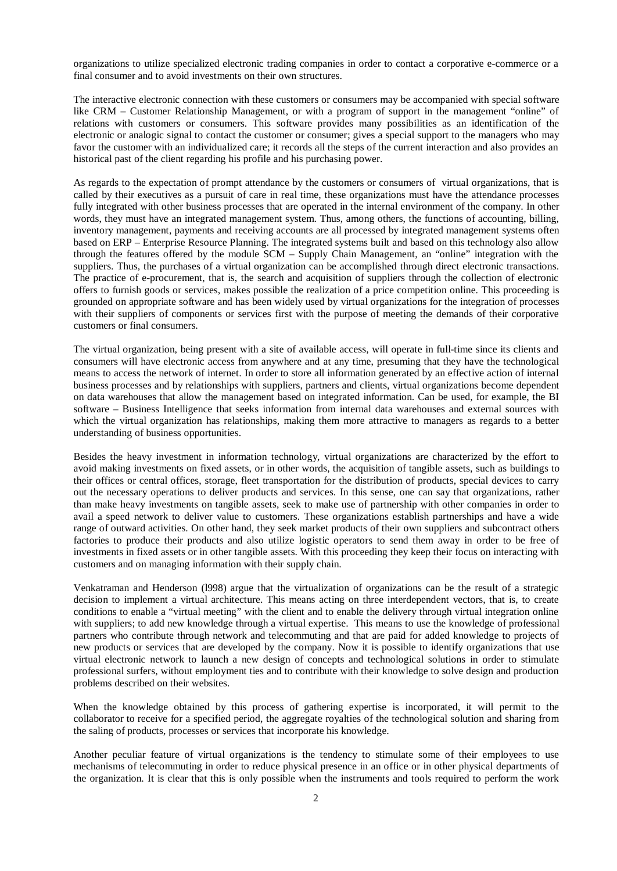organizations to utilize specialized electronic trading companies in order to contact a corporative e-commerce or a final consumer and to avoid investments on their own structures.

The interactive electronic connection with these customers or consumers may be accompanied with special software like CRM – Customer Relationship Management, or with a program of support in the management "online" of relations with customers or consumers. This software provides many possibilities as an identification of the electronic or analogic signal to contact the customer or consumer; gives a special support to the managers who may favor the customer with an individualized care; it records all the steps of the current interaction and also provides an historical past of the client regarding his profile and his purchasing power.

As regards to the expectation of prompt attendance by the customers or consumers of virtual organizations, that is called by their executives as a pursuit of care in real time, these organizations must have the attendance processes fully integrated with other business processes that are operated in the internal environment of the company. In other words, they must have an integrated management system. Thus, among others, the functions of accounting, billing, inventory management, payments and receiving accounts are all processed by integrated management systems often based on ERP – Enterprise Resource Planning. The integrated systems built and based on this technology also allow through the features offered by the module SCM – Supply Chain Management, an "online" integration with the suppliers. Thus, the purchases of a virtual organization can be accomplished through direct electronic transactions. The practice of e-procurement, that is, the search and acquisition of suppliers through the collection of electronic offers to furnish goods or services, makes possible the realization of a price competition online. This proceeding is grounded on appropriate software and has been widely used by virtual organizations for the integration of processes with their suppliers of components or services first with the purpose of meeting the demands of their corporative customers or final consumers.

The virtual organization, being present with a site of available access, will operate in full-time since its clients and consumers will have electronic access from anywhere and at any time, presuming that they have the technological means to access the network of internet. In order to store all information generated by an effective action of internal business processes and by relationships with suppliers, partners and clients, virtual organizations become dependent on data warehouses that allow the management based on integrated information. Can be used, for example, the BI software – Business Intelligence that seeks information from internal data warehouses and external sources with which the virtual organization has relationships, making them more attractive to managers as regards to a better understanding of business opportunities.

Besides the heavy investment in information technology, virtual organizations are characterized by the effort to avoid making investments on fixed assets, or in other words, the acquisition of tangible assets, such as buildings to their offices or central offices, storage, fleet transportation for the distribution of products, special devices to carry out the necessary operations to deliver products and services. In this sense, one can say that organizations, rather than make heavy investments on tangible assets, seek to make use of partnership with other companies in order to avail a speed network to deliver value to customers. These organizations establish partnerships and have a wide range of outward activities. On other hand, they seek market products of their own suppliers and subcontract others factories to produce their products and also utilize logistic operators to send them away in order to be free of investments in fixed assets or in other tangible assets. With this proceeding they keep their focus on interacting with customers and on managing information with their supply chain.

Venkatraman and Henderson (l998) argue that the virtualization of organizations can be the result of a strategic decision to implement a virtual architecture. This means acting on three interdependent vectors, that is, to create conditions to enable a "virtual meeting" with the client and to enable the delivery through virtual integration online with suppliers; to add new knowledge through a virtual expertise. This means to use the knowledge of professional partners who contribute through network and telecommuting and that are paid for added knowledge to projects of new products or services that are developed by the company. Now it is possible to identify organizations that use virtual electronic network to launch a new design of concepts and technological solutions in order to stimulate professional surfers, without employment ties and to contribute with their knowledge to solve design and production problems described on their websites.

When the knowledge obtained by this process of gathering expertise is incorporated, it will permit to the collaborator to receive for a specified period, the aggregate royalties of the technological solution and sharing from the saling of products, processes or services that incorporate his knowledge.

Another peculiar feature of virtual organizations is the tendency to stimulate some of their employees to use mechanisms of telecommuting in order to reduce physical presence in an office or in other physical departments of the organization. It is clear that this is only possible when the instruments and tools required to perform the work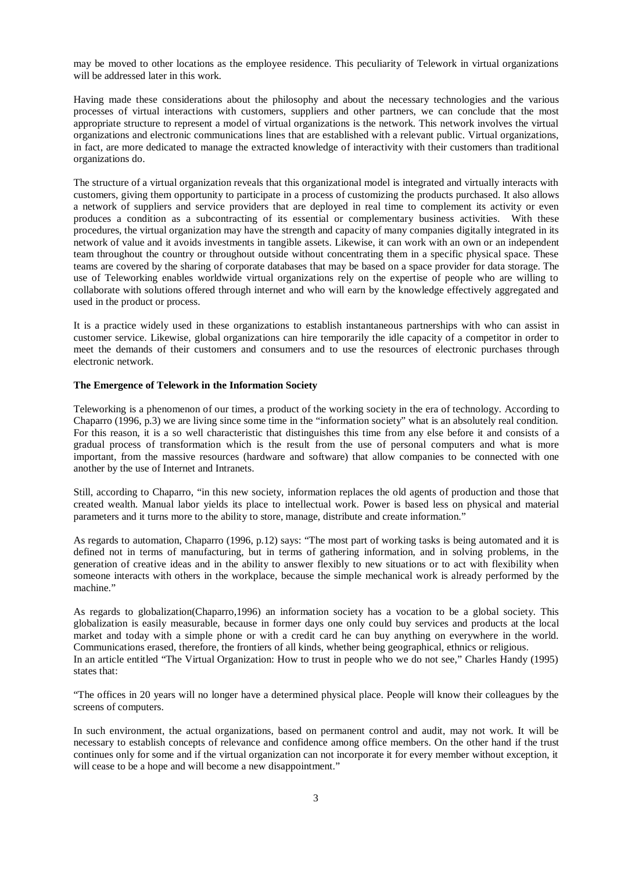may be moved to other locations as the employee residence. This peculiarity of Telework in virtual organizations will be addressed later in this work.

Having made these considerations about the philosophy and about the necessary technologies and the various processes of virtual interactions with customers, suppliers and other partners, we can conclude that the most appropriate structure to represent a model of virtual organizations is the network. This network involves the virtual organizations and electronic communications lines that are established with a relevant public. Virtual organizations, in fact, are more dedicated to manage the extracted knowledge of interactivity with their customers than traditional organizations do.

The structure of a virtual organization reveals that this organizational model is integrated and virtually interacts with customers, giving them opportunity to participate in a process of customizing the products purchased. It also allows a network of suppliers and service providers that are deployed in real time to complement its activity or even produces a condition as a subcontracting of its essential or complementary business activities. With these procedures, the virtual organization may have the strength and capacity of many companies digitally integrated in its network of value and it avoids investments in tangible assets. Likewise, it can work with an own or an independent team throughout the country or throughout outside without concentrating them in a specific physical space. These teams are covered by the sharing of corporate databases that may be based on a space provider for data storage. The use of Teleworking enables worldwide virtual organizations rely on the expertise of people who are willing to collaborate with solutions offered through internet and who will earn by the knowledge effectively aggregated and used in the product or process.

It is a practice widely used in these organizations to establish instantaneous partnerships with who can assist in customer service. Likewise, global organizations can hire temporarily the idle capacity of a competitor in order to meet the demands of their customers and consumers and to use the resources of electronic purchases through electronic network.

## **The Emergence of Telework in the Information Society**

Teleworking is a phenomenon of our times, a product of the working society in the era of technology. According to Chaparro (1996, p.3) we are living since some time in the "information society" what is an absolutely real condition. For this reason, it is a so well characteristic that distinguishes this time from any else before it and consists of a gradual process of transformation which is the result from the use of personal computers and what is more important, from the massive resources (hardware and software) that allow companies to be connected with one another by the use of Internet and Intranets.

Still, according to Chaparro, "in this new society, information replaces the old agents of production and those that created wealth. Manual labor yields its place to intellectual work. Power is based less on physical and material parameters and it turns more to the ability to store, manage, distribute and create information."

As regards to automation, Chaparro (1996, p.12) says: "The most part of working tasks is being automated and it is defined not in terms of manufacturing, but in terms of gathering information, and in solving problems, in the generation of creative ideas and in the ability to answer flexibly to new situations or to act with flexibility when someone interacts with others in the workplace, because the simple mechanical work is already performed by the machine."

As regards to globalization(Chaparro,1996) an information society has a vocation to be a global society. This globalization is easily measurable, because in former days one only could buy services and products at the local market and today with a simple phone or with a credit card he can buy anything on everywhere in the world. Communications erased, therefore, the frontiers of all kinds, whether being geographical, ethnics or religious. In an article entitled "The Virtual Organization: How to trust in people who we do not see," Charles Handy (1995) states that:

"The offices in 20 years will no longer have a determined physical place. People will know their colleagues by the screens of computers.

In such environment, the actual organizations, based on permanent control and audit, may not work. It will be necessary to establish concepts of relevance and confidence among office members. On the other hand if the trust continues only for some and if the virtual organization can not incorporate it for every member without exception, it will cease to be a hope and will become a new disappointment."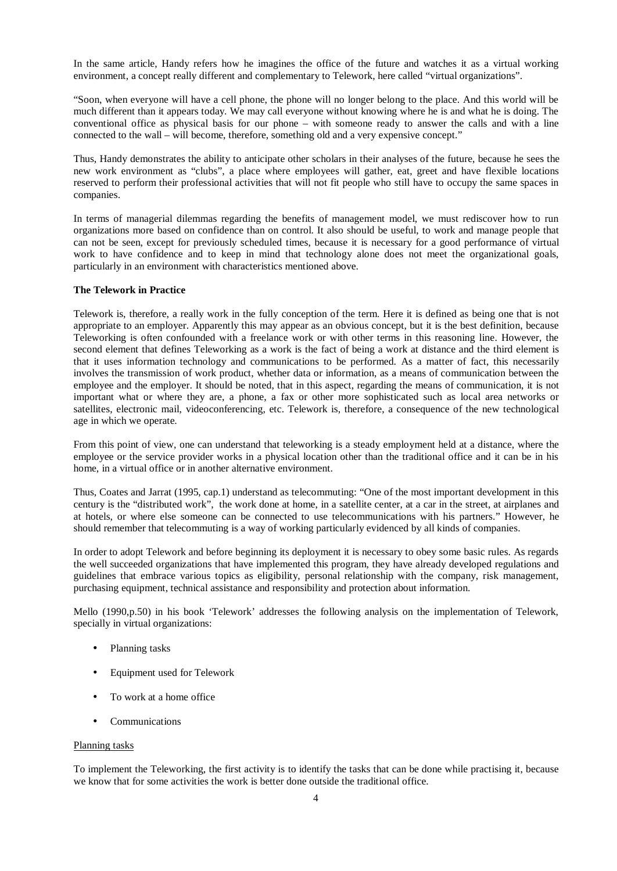In the same article, Handy refers how he imagines the office of the future and watches it as a virtual working environment, a concept really different and complementary to Telework, here called "virtual organizations".

"Soon, when everyone will have a cell phone, the phone will no longer belong to the place. And this world will be much different than it appears today. We may call everyone without knowing where he is and what he is doing. The conventional office as physical basis for our phone – with someone ready to answer the calls and with a line connected to the wall – will become, therefore, something old and a very expensive concept."

Thus, Handy demonstrates the ability to anticipate other scholars in their analyses of the future, because he sees the new work environment as "clubs", a place where employees will gather, eat, greet and have flexible locations reserved to perform their professional activities that will not fit people who still have to occupy the same spaces in companies.

In terms of managerial dilemmas regarding the benefits of management model, we must rediscover how to run organizations more based on confidence than on control. It also should be useful, to work and manage people that can not be seen, except for previously scheduled times, because it is necessary for a good performance of virtual work to have confidence and to keep in mind that technology alone does not meet the organizational goals, particularly in an environment with characteristics mentioned above.

### **The Telework in Practice**

Telework is, therefore, a really work in the fully conception of the term. Here it is defined as being one that is not appropriate to an employer. Apparently this may appear as an obvious concept, but it is the best definition, because Teleworking is often confounded with a freelance work or with other terms in this reasoning line. However, the second element that defines Teleworking as a work is the fact of being a work at distance and the third element is that it uses information technology and communications to be performed. As a matter of fact, this necessarily involves the transmission of work product, whether data or information, as a means of communication between the employee and the employer. It should be noted, that in this aspect, regarding the means of communication, it is not important what or where they are, a phone, a fax or other more sophisticated such as local area networks or satellites, electronic mail, videoconferencing, etc. Telework is, therefore, a consequence of the new technological age in which we operate.

From this point of view, one can understand that teleworking is a steady employment held at a distance, where the employee or the service provider works in a physical location other than the traditional office and it can be in his home, in a virtual office or in another alternative environment.

Thus, Coates and Jarrat (1995, cap.1) understand as telecommuting: "One of the most important development in this century is the "distributed work", the work done at home, in a satellite center, at a car in the street, at airplanes and at hotels, or where else someone can be connected to use telecommunications with his partners." However, he should remember that telecommuting is a way of working particularly evidenced by all kinds of companies.

In order to adopt Telework and before beginning its deployment it is necessary to obey some basic rules. As regards the well succeeded organizations that have implemented this program, they have already developed regulations and guidelines that embrace various topics as eligibility, personal relationship with the company, risk management, purchasing equipment, technical assistance and responsibility and protection about information.

Mello (1990,p.50) in his book 'Telework' addresses the following analysis on the implementation of Telework, specially in virtual organizations:

- Planning tasks
- Equipment used for Telework
- To work at a home office
- Communications

### Planning tasks

To implement the Teleworking, the first activity is to identify the tasks that can be done while practising it, because we know that for some activities the work is better done outside the traditional office.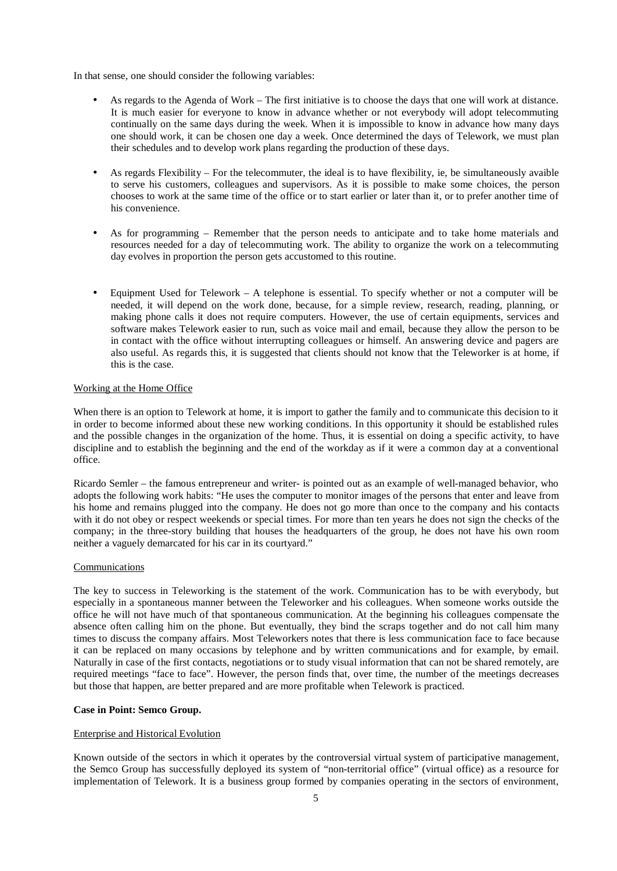In that sense, one should consider the following variables:

- As regards to the Agenda of Work The first initiative is to choose the days that one will work at distance. It is much easier for everyone to know in advance whether or not everybody will adopt telecommuting continually on the same days during the week. When it is impossible to know in advance how many days one should work, it can be chosen one day a week. Once determined the days of Telework, we must plan their schedules and to develop work plans regarding the production of these days.
- As regards Flexibility For the telecommuter, the ideal is to have flexibility, ie, be simultaneously avaible to serve his customers, colleagues and supervisors. As it is possible to make some choices, the person chooses to work at the same time of the office or to start earlier or later than it, or to prefer another time of his convenience.
- As for programming Remember that the person needs to anticipate and to take home materials and resources needed for a day of telecommuting work. The ability to organize the work on a telecommuting day evolves in proportion the person gets accustomed to this routine.
- Equipment Used for Telework A telephone is essential. To specify whether or not a computer will be needed, it will depend on the work done, because, for a simple review, research, reading, planning, or making phone calls it does not require computers. However, the use of certain equipments, services and software makes Telework easier to run, such as voice mail and email, because they allow the person to be in contact with the office without interrupting colleagues or himself. An answering device and pagers are also useful. As regards this, it is suggested that clients should not know that the Teleworker is at home, if this is the case.

### Working at the Home Office

When there is an option to Telework at home, it is import to gather the family and to communicate this decision to it in order to become informed about these new working conditions. In this opportunity it should be established rules and the possible changes in the organization of the home. Thus, it is essential on doing a specific activity, to have discipline and to establish the beginning and the end of the workday as if it were a common day at a conventional office.

Ricardo Semler – the famous entrepreneur and writer- is pointed out as an example of well-managed behavior, who adopts the following work habits: "He uses the computer to monitor images of the persons that enter and leave from his home and remains plugged into the company. He does not go more than once to the company and his contacts with it do not obey or respect weekends or special times. For more than ten years he does not sign the checks of the company; in the three-story building that houses the headquarters of the group, he does not have his own room neither a vaguely demarcated for his car in its courtyard."

#### Communications

The key to success in Teleworking is the statement of the work. Communication has to be with everybody, but especially in a spontaneous manner between the Teleworker and his colleagues. When someone works outside the office he will not have much of that spontaneous communication. At the beginning his colleagues compensate the absence often calling him on the phone. But eventually, they bind the scraps together and do not call him many times to discuss the company affairs. Most Teleworkers notes that there is less communication face to face because it can be replaced on many occasions by telephone and by written communications and for example, by email. Naturally in case of the first contacts, negotiations or to study visual information that can not be shared remotely, are required meetings "face to face". However, the person finds that, over time, the number of the meetings decreases but those that happen, are better prepared and are more profitable when Telework is practiced.

### **Case in Point: Semco Group.**

### Enterprise and Historical Evolution

Known outside of the sectors in which it operates by the controversial virtual system of participative management, the Semco Group has successfully deployed its system of "non-territorial office" (virtual office) as a resource for implementation of Telework. It is a business group formed by companies operating in the sectors of environment,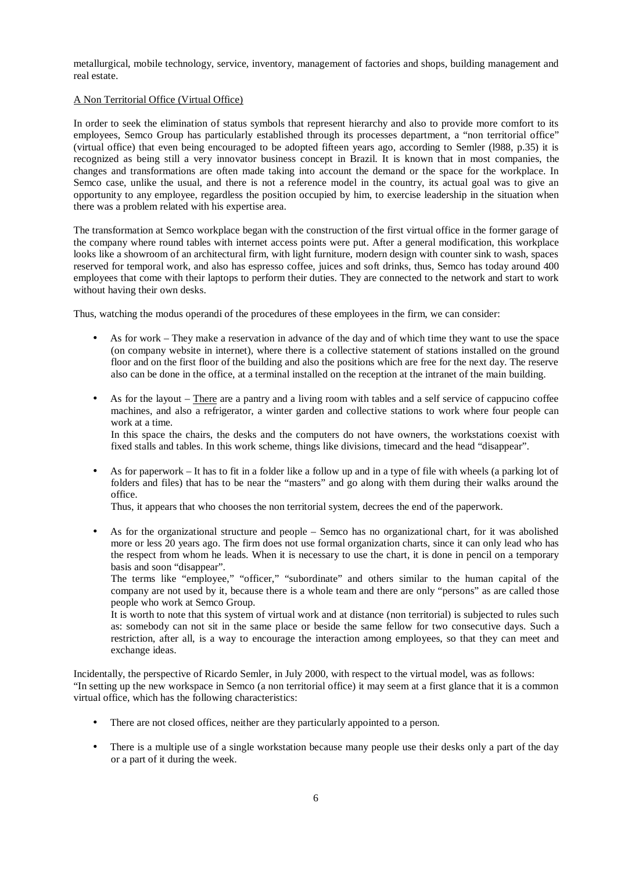metallurgical, mobile technology, service, inventory, management of factories and shops, building management and real estate.

## A Non Territorial Office (Virtual Office)

In order to seek the elimination of status symbols that represent hierarchy and also to provide more comfort to its employees, Semco Group has particularly established through its processes department, a "non territorial office" (virtual office) that even being encouraged to be adopted fifteen years ago, according to Semler (l988, p.35) it is recognized as being still a very innovator business concept in Brazil. It is known that in most companies, the changes and transformations are often made taking into account the demand or the space for the workplace. In Semco case, unlike the usual, and there is not a reference model in the country, its actual goal was to give an opportunity to any employee, regardless the position occupied by him, to exercise leadership in the situation when there was a problem related with his expertise area.

The transformation at Semco workplace began with the construction of the first virtual office in the former garage of the company where round tables with internet access points were put. After a general modification, this workplace looks like a showroom of an architectural firm, with light furniture, modern design with counter sink to wash, spaces reserved for temporal work, and also has espresso coffee, juices and soft drinks, thus, Semco has today around 400 employees that come with their laptops to perform their duties. They are connected to the network and start to work without having their own desks.

Thus, watching the modus operandi of the procedures of these employees in the firm, we can consider:

- As for work They make a reservation in advance of the day and of which time they want to use the space (on company website in internet), where there is a collective statement of stations installed on the ground floor and on the first floor of the building and also the positions which are free for the next day. The reserve also can be done in the office, at a terminal installed on the reception at the intranet of the main building.
- As for the layout There are a pantry and a living room with tables and a self service of cappucino coffee machines, and also a refrigerator, a winter garden and collective stations to work where four people can work at a time. In this space the chairs, the desks and the computers do not have owners, the workstations coexist with

fixed stalls and tables. In this work scheme, things like divisions, timecard and the head "disappear".

• As for paperwork – It has to fit in a folder like a follow up and in a type of file with wheels (a parking lot of folders and files) that has to be near the "masters" and go along with them during their walks around the office.

Thus, it appears that who chooses the non territorial system, decrees the end of the paperwork.

• As for the organizational structure and people – Semco has no organizational chart, for it was abolished more or less 20 years ago. The firm does not use formal organization charts, since it can only lead who has the respect from whom he leads. When it is necessary to use the chart, it is done in pencil on a temporary basis and soon "disappear".

The terms like "employee," "officer," "subordinate" and others similar to the human capital of the company are not used by it, because there is a whole team and there are only "persons" as are called those people who work at Semco Group.

It is worth to note that this system of virtual work and at distance (non territorial) is subjected to rules such as: somebody can not sit in the same place or beside the same fellow for two consecutive days. Such a restriction, after all, is a way to encourage the interaction among employees, so that they can meet and exchange ideas.

Incidentally, the perspective of Ricardo Semler, in July 2000, with respect to the virtual model, was as follows: "In setting up the new workspace in Semco (a non territorial office) it may seem at a first glance that it is a common virtual office, which has the following characteristics:

- There are not closed offices, neither are they particularly appointed to a person.
- There is a multiple use of a single workstation because many people use their desks only a part of the day or a part of it during the week.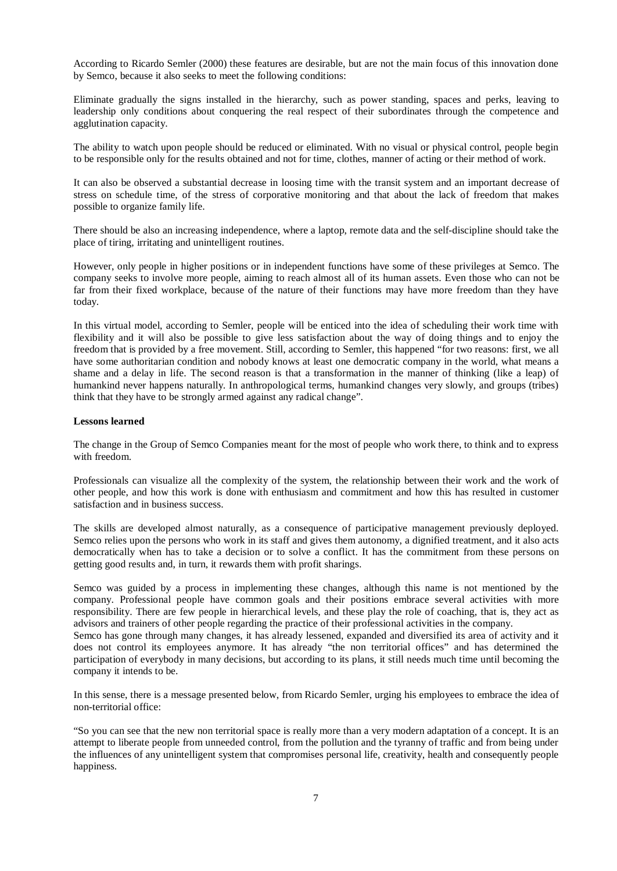According to Ricardo Semler (2000) these features are desirable, but are not the main focus of this innovation done by Semco, because it also seeks to meet the following conditions:

Eliminate gradually the signs installed in the hierarchy, such as power standing, spaces and perks, leaving to leadership only conditions about conquering the real respect of their subordinates through the competence and agglutination capacity.

The ability to watch upon people should be reduced or eliminated. With no visual or physical control, people begin to be responsible only for the results obtained and not for time, clothes, manner of acting or their method of work.

It can also be observed a substantial decrease in loosing time with the transit system and an important decrease of stress on schedule time, of the stress of corporative monitoring and that about the lack of freedom that makes possible to organize family life.

There should be also an increasing independence, where a laptop, remote data and the self-discipline should take the place of tiring, irritating and unintelligent routines.

However, only people in higher positions or in independent functions have some of these privileges at Semco. The company seeks to involve more people, aiming to reach almost all of its human assets. Even those who can not be far from their fixed workplace, because of the nature of their functions may have more freedom than they have today.

In this virtual model, according to Semler, people will be enticed into the idea of scheduling their work time with flexibility and it will also be possible to give less satisfaction about the way of doing things and to enjoy the freedom that is provided by a free movement. Still, according to Semler, this happened "for two reasons: first, we all have some authoritarian condition and nobody knows at least one democratic company in the world, what means a shame and a delay in life. The second reason is that a transformation in the manner of thinking (like a leap) of humankind never happens naturally. In anthropological terms, humankind changes very slowly, and groups (tribes) think that they have to be strongly armed against any radical change".

## **Lessons learned**

The change in the Group of Semco Companies meant for the most of people who work there, to think and to express with freedom.

Professionals can visualize all the complexity of the system, the relationship between their work and the work of other people, and how this work is done with enthusiasm and commitment and how this has resulted in customer satisfaction and in business success.

The skills are developed almost naturally, as a consequence of participative management previously deployed. Semco relies upon the persons who work in its staff and gives them autonomy, a dignified treatment, and it also acts democratically when has to take a decision or to solve a conflict. It has the commitment from these persons on getting good results and, in turn, it rewards them with profit sharings.

Semco was guided by a process in implementing these changes, although this name is not mentioned by the company. Professional people have common goals and their positions embrace several activities with more responsibility. There are few people in hierarchical levels, and these play the role of coaching, that is, they act as advisors and trainers of other people regarding the practice of their professional activities in the company.

Semco has gone through many changes, it has already lessened, expanded and diversified its area of activity and it does not control its employees anymore. It has already "the non territorial offices" and has determined the participation of everybody in many decisions, but according to its plans, it still needs much time until becoming the company it intends to be.

In this sense, there is a message presented below, from Ricardo Semler, urging his employees to embrace the idea of non-territorial office:

"So you can see that the new non territorial space is really more than a very modern adaptation of a concept. It is an attempt to liberate people from unneeded control, from the pollution and the tyranny of traffic and from being under the influences of any unintelligent system that compromises personal life, creativity, health and consequently people happiness.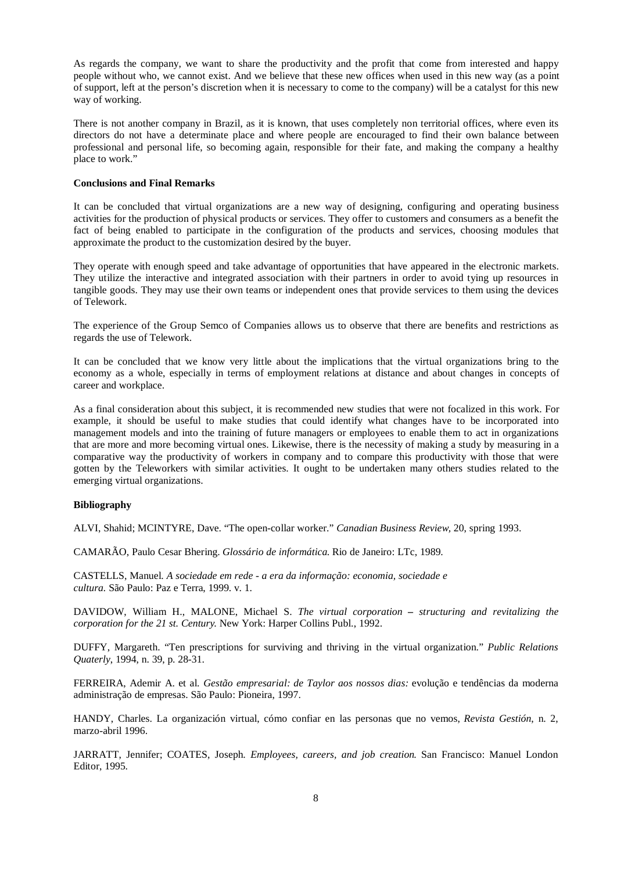As regards the company, we want to share the productivity and the profit that come from interested and happy people without who, we cannot exist. And we believe that these new offices when used in this new way (as a point of support, left at the person's discretion when it is necessary to come to the company) will be a catalyst for this new way of working.

There is not another company in Brazil, as it is known, that uses completely non territorial offices, where even its directors do not have a determinate place and where people are encouraged to find their own balance between professional and personal life, so becoming again, responsible for their fate, and making the company a healthy place to work."

### **Conclusions and Final Remarks**

It can be concluded that virtual organizations are a new way of designing, configuring and operating business activities for the production of physical products or services. They offer to customers and consumers as a benefit the fact of being enabled to participate in the configuration of the products and services, choosing modules that approximate the product to the customization desired by the buyer.

They operate with enough speed and take advantage of opportunities that have appeared in the electronic markets. They utilize the interactive and integrated association with their partners in order to avoid tying up resources in tangible goods. They may use their own teams or independent ones that provide services to them using the devices of Telework.

The experience of the Group Semco of Companies allows us to observe that there are benefits and restrictions as regards the use of Telework.

It can be concluded that we know very little about the implications that the virtual organizations bring to the economy as a whole, especially in terms of employment relations at distance and about changes in concepts of career and workplace.

As a final consideration about this subject, it is recommended new studies that were not focalized in this work. For example, it should be useful to make studies that could identify what changes have to be incorporated into management models and into the training of future managers or employees to enable them to act in organizations that are more and more becoming virtual ones. Likewise, there is the necessity of making a study by measuring in a comparative way the productivity of workers in company and to compare this productivity with those that were gotten by the Teleworkers with similar activities. It ought to be undertaken many others studies related to the emerging virtual organizations.

### **Bibliography**

ALVI, Shahid; MCINTYRE, Dave. "The open-collar worker." *Canadian Business Review,* 20, spring 1993.

CAMARÃO, Paulo Cesar Bhering. *Glossário de informática*. Rio de Janeiro: LTc, 1989.

CASTELLS, Manuel. *A sociedade em rede - a era da informação: economia, sociedade e cultura.* São Paulo: Paz e Terra, 1999. v. 1.

DAVIDOW, William H., MALONE, Michael S. *The virtual corporation – structuring and revitalizing the corporation for the 21 st. Century*. New York: Harper Collins Publ., 1992.

DUFFY, Margareth. "Ten prescriptions for surviving and thriving in the virtual organization." *Public Relations Quaterly*, 1994, n. 39, p. 28-31.

FERREIRA, Ademir A. et al. *Gestão empresarial: de Taylor aos nossos dias:* evolução e tendências da moderna administração de empresas. São Paulo: Pioneira, 1997.

HANDY, Charles. La organización virtual, cómo confiar en las personas que no vemos, *Revista Gestión*, n. 2, marzo-abril 1996.

JARRATT, Jennifer; COATES, Joseph. *Employees, careers, and job creation*. San Francisco: Manuel London Editor, 1995.